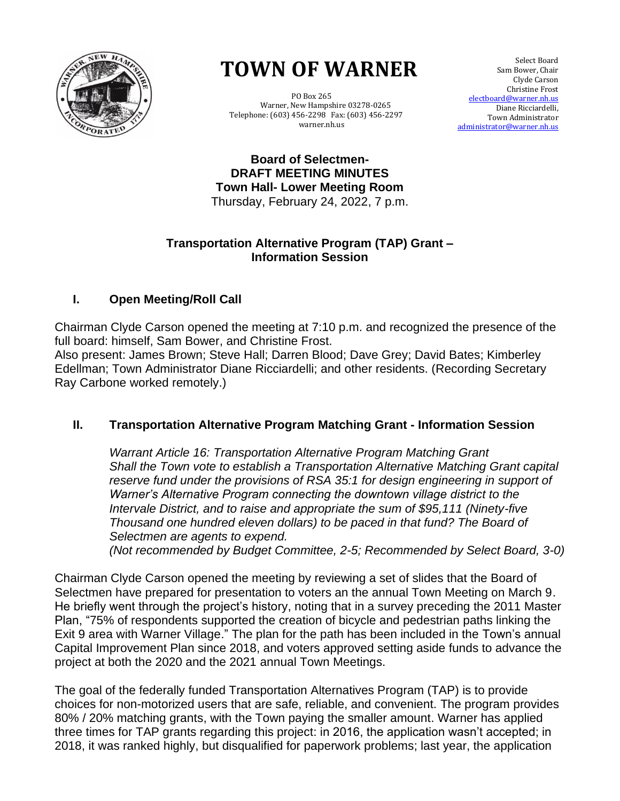

# **TOWN OF WARNER TOWN OF WARNER**

 PO Box 265 PO Box 265 Warner, New Hampshire 03278-0265 Warner, New Hampshire 03278-0265 Telephone: (603) 456-2298 Fax: (603) 456-2297 Telephone: (603) 456-2298 Fax: (603) 456-2297 warner.nh.us warner.nh.us

 Select Board Sam Bower, Chair Clyde Carson Christine Frost electboard@warner.nh.us Diane Ricciardelli, Town Administrator [administrator@warner.nh.us](mailto:administrator@warner.nh.us)

**Board of Selectmen-DRAFT MEETING MINUTES Town Hall- Lower Meeting Room** Thursday, February 24, 2022, 7 p.m.

#### **Transportation Alternative Program (TAP) Grant – Information Session**

### **I. Open Meeting/Roll Call**

Chairman Clyde Carson opened the meeting at 7:10 p.m. and recognized the presence of the full board: himself, Sam Bower, and Christine Frost.

Also present: James Brown; Steve Hall; Darren Blood; Dave Grey; David Bates; Kimberley Edellman; Town Administrator Diane Ricciardelli; and other residents. (Recording Secretary Ray Carbone worked remotely.)

## **II. Transportation Alternative Program Matching Grant - Information Session**

*Warrant Article 16: Transportation Alternative Program Matching Grant Shall the Town vote to establish a Transportation Alternative Matching Grant capital reserve fund under the provisions of RSA 35:1 for design engineering in support of Warner's Alternative Program connecting the downtown village district to the Intervale District, and to raise and appropriate the sum of \$95,111 (Ninety-five Thousand one hundred eleven dollars) to be paced in that fund? The Board of Selectmen are agents to expend.* 

*(Not recommended by Budget Committee, 2-5; Recommended by Select Board, 3-0)*

Chairman Clyde Carson opened the meeting by reviewing a set of slides that the Board of Selectmen have prepared for presentation to voters an the annual Town Meeting on March 9. He briefly went through the project's history, noting that in a survey preceding the 2011 Master Plan, "75% of respondents supported the creation of bicycle and pedestrian paths linking the Exit 9 area with Warner Village." The plan for the path has been included in the Town's annual Capital Improvement Plan since 2018, and voters approved setting aside funds to advance the project at both the 2020 and the 2021 annual Town Meetings.

The goal of the federally funded Transportation Alternatives Program (TAP) is to provide choices for non-motorized users that are safe, reliable, and convenient. The program provides 80% / 20% matching grants, with the Town paying the smaller amount. Warner has applied three times for TAP grants regarding this project: in 2016, the application wasn't accepted; in 2018, it was ranked highly, but disqualified for paperwork problems; last year, the application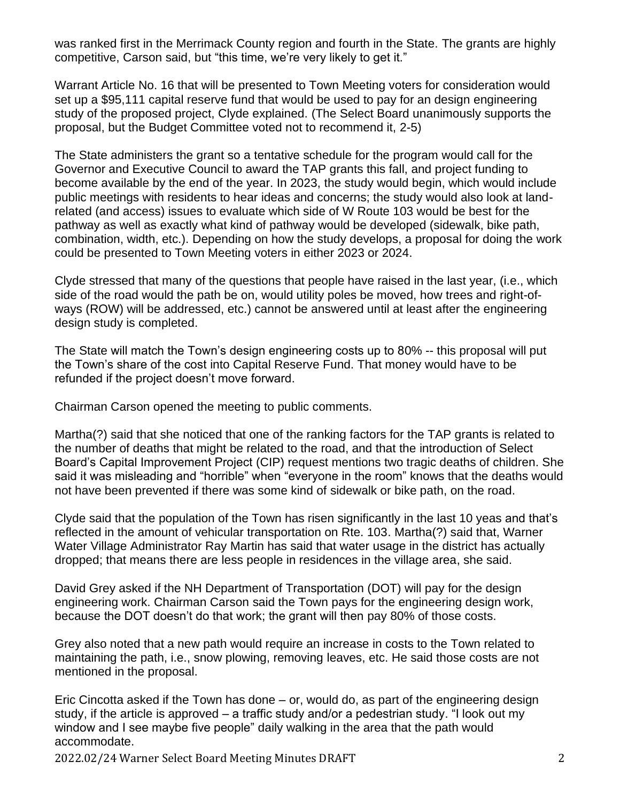was ranked first in the Merrimack County region and fourth in the State. The grants are highly competitive, Carson said, but "this time, we're very likely to get it."

Warrant Article No. 16 that will be presented to Town Meeting voters for consideration would set up a \$95,111 capital reserve fund that would be used to pay for an design engineering study of the proposed project, Clyde explained. (The Select Board unanimously supports the proposal, but the Budget Committee voted not to recommend it, 2-5)

The State administers the grant so a tentative schedule for the program would call for the Governor and Executive Council to award the TAP grants this fall, and project funding to become available by the end of the year. In 2023, the study would begin, which would include public meetings with residents to hear ideas and concerns; the study would also look at landrelated (and access) issues to evaluate which side of W Route 103 would be best for the pathway as well as exactly what kind of pathway would be developed (sidewalk, bike path, combination, width, etc.). Depending on how the study develops, a proposal for doing the work could be presented to Town Meeting voters in either 2023 or 2024.

Clyde stressed that many of the questions that people have raised in the last year, (i.e., which side of the road would the path be on, would utility poles be moved, how trees and right-ofways (ROW) will be addressed, etc.) cannot be answered until at least after the engineering design study is completed.

The State will match the Town's design engineering costs up to 80% -- this proposal will put the Town's share of the cost into Capital Reserve Fund. That money would have to be refunded if the project doesn't move forward.

Chairman Carson opened the meeting to public comments.

Martha(?) said that she noticed that one of the ranking factors for the TAP grants is related to the number of deaths that might be related to the road, and that the introduction of Select Board's Capital Improvement Project (CIP) request mentions two tragic deaths of children. She said it was misleading and "horrible" when "everyone in the room" knows that the deaths would not have been prevented if there was some kind of sidewalk or bike path, on the road.

Clyde said that the population of the Town has risen significantly in the last 10 yeas and that's reflected in the amount of vehicular transportation on Rte. 103. Martha(?) said that, Warner Water Village Administrator Ray Martin has said that water usage in the district has actually dropped; that means there are less people in residences in the village area, she said.

David Grey asked if the NH Department of Transportation (DOT) will pay for the design engineering work. Chairman Carson said the Town pays for the engineering design work, because the DOT doesn't do that work; the grant will then pay 80% of those costs.

Grey also noted that a new path would require an increase in costs to the Town related to maintaining the path, i.e., snow plowing, removing leaves, etc. He said those costs are not mentioned in the proposal.

Eric Cincotta asked if the Town has done – or, would do, as part of the engineering design study, if the article is approved – a traffic study and/or a pedestrian study. "I look out my window and I see maybe five people" daily walking in the area that the path would accommodate.

2022.02/24 Warner Select Board Meeting Minutes DRAFT 2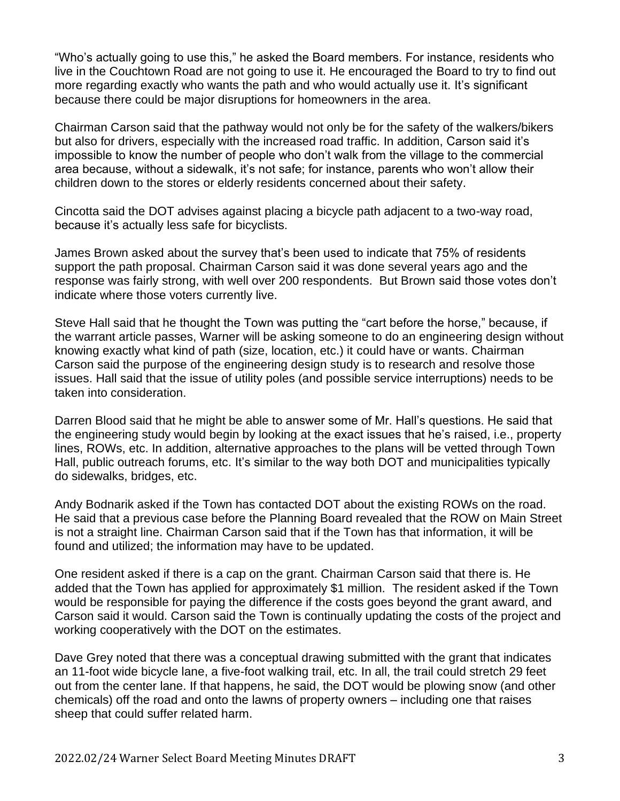"Who's actually going to use this," he asked the Board members. For instance, residents who live in the Couchtown Road are not going to use it. He encouraged the Board to try to find out more regarding exactly who wants the path and who would actually use it. It's significant because there could be major disruptions for homeowners in the area.

Chairman Carson said that the pathway would not only be for the safety of the walkers/bikers but also for drivers, especially with the increased road traffic. In addition, Carson said it's impossible to know the number of people who don't walk from the village to the commercial area because, without a sidewalk, it's not safe; for instance, parents who won't allow their children down to the stores or elderly residents concerned about their safety.

Cincotta said the DOT advises against placing a bicycle path adjacent to a two-way road, because it's actually less safe for bicyclists.

James Brown asked about the survey that's been used to indicate that 75% of residents support the path proposal. Chairman Carson said it was done several years ago and the response was fairly strong, with well over 200 respondents. But Brown said those votes don't indicate where those voters currently live.

Steve Hall said that he thought the Town was putting the "cart before the horse," because, if the warrant article passes, Warner will be asking someone to do an engineering design without knowing exactly what kind of path (size, location, etc.) it could have or wants. Chairman Carson said the purpose of the engineering design study is to research and resolve those issues. Hall said that the issue of utility poles (and possible service interruptions) needs to be taken into consideration.

Darren Blood said that he might be able to answer some of Mr. Hall's questions. He said that the engineering study would begin by looking at the exact issues that he's raised, i.e., property lines, ROWs, etc. In addition, alternative approaches to the plans will be vetted through Town Hall, public outreach forums, etc. It's similar to the way both DOT and municipalities typically do sidewalks, bridges, etc.

Andy Bodnarik asked if the Town has contacted DOT about the existing ROWs on the road. He said that a previous case before the Planning Board revealed that the ROW on Main Street is not a straight line. Chairman Carson said that if the Town has that information, it will be found and utilized; the information may have to be updated.

One resident asked if there is a cap on the grant. Chairman Carson said that there is. He added that the Town has applied for approximately \$1 million. The resident asked if the Town would be responsible for paying the difference if the costs goes beyond the grant award, and Carson said it would. Carson said the Town is continually updating the costs of the project and working cooperatively with the DOT on the estimates.

Dave Grey noted that there was a conceptual drawing submitted with the grant that indicates an 11-foot wide bicycle lane, a five-foot walking trail, etc. In all, the trail could stretch 29 feet out from the center lane. If that happens, he said, the DOT would be plowing snow (and other chemicals) off the road and onto the lawns of property owners – including one that raises sheep that could suffer related harm.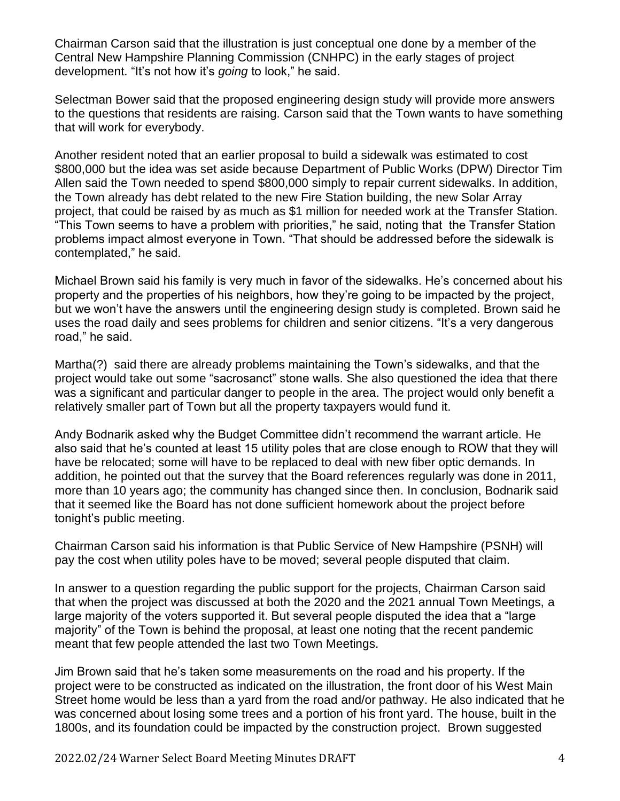Chairman Carson said that the illustration is just conceptual one done by a member of the Central New Hampshire Planning Commission (CNHPC) in the early stages of project development. "It's not how it's *going* to look," he said.

Selectman Bower said that the proposed engineering design study will provide more answers to the questions that residents are raising. Carson said that the Town wants to have something that will work for everybody.

Another resident noted that an earlier proposal to build a sidewalk was estimated to cost \$800,000 but the idea was set aside because Department of Public Works (DPW) Director Tim Allen said the Town needed to spend \$800,000 simply to repair current sidewalks. In addition, the Town already has debt related to the new Fire Station building, the new Solar Array project, that could be raised by as much as \$1 million for needed work at the Transfer Station. "This Town seems to have a problem with priorities," he said, noting that the Transfer Station problems impact almost everyone in Town. "That should be addressed before the sidewalk is contemplated," he said.

Michael Brown said his family is very much in favor of the sidewalks. He's concerned about his property and the properties of his neighbors, how they're going to be impacted by the project, but we won't have the answers until the engineering design study is completed. Brown said he uses the road daily and sees problems for children and senior citizens. "It's a very dangerous road," he said.

Martha(?) said there are already problems maintaining the Town's sidewalks, and that the project would take out some "sacrosanct" stone walls. She also questioned the idea that there was a significant and particular danger to people in the area. The project would only benefit a relatively smaller part of Town but all the property taxpayers would fund it.

Andy Bodnarik asked why the Budget Committee didn't recommend the warrant article. He also said that he's counted at least 15 utility poles that are close enough to ROW that they will have be relocated; some will have to be replaced to deal with new fiber optic demands. In addition, he pointed out that the survey that the Board references regularly was done in 2011, more than 10 years ago; the community has changed since then. In conclusion, Bodnarik said that it seemed like the Board has not done sufficient homework about the project before tonight's public meeting.

Chairman Carson said his information is that Public Service of New Hampshire (PSNH) will pay the cost when utility poles have to be moved; several people disputed that claim.

In answer to a question regarding the public support for the projects, Chairman Carson said that when the project was discussed at both the 2020 and the 2021 annual Town Meetings, a large majority of the voters supported it. But several people disputed the idea that a "large majority" of the Town is behind the proposal, at least one noting that the recent pandemic meant that few people attended the last two Town Meetings.

Jim Brown said that he's taken some measurements on the road and his property. If the project were to be constructed as indicated on the illustration, the front door of his West Main Street home would be less than a yard from the road and/or pathway. He also indicated that he was concerned about losing some trees and a portion of his front yard. The house, built in the 1800s, and its foundation could be impacted by the construction project. Brown suggested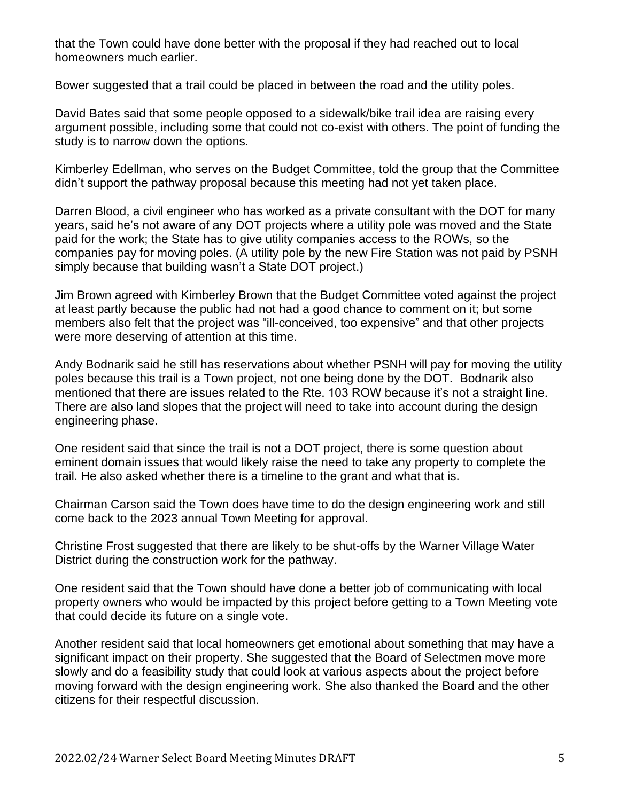that the Town could have done better with the proposal if they had reached out to local homeowners much earlier.

Bower suggested that a trail could be placed in between the road and the utility poles.

David Bates said that some people opposed to a sidewalk/bike trail idea are raising every argument possible, including some that could not co-exist with others. The point of funding the study is to narrow down the options.

Kimberley Edellman, who serves on the Budget Committee, told the group that the Committee didn't support the pathway proposal because this meeting had not yet taken place.

Darren Blood, a civil engineer who has worked as a private consultant with the DOT for many years, said he's not aware of any DOT projects where a utility pole was moved and the State paid for the work; the State has to give utility companies access to the ROWs, so the companies pay for moving poles. (A utility pole by the new Fire Station was not paid by PSNH simply because that building wasn't a State DOT project.)

Jim Brown agreed with Kimberley Brown that the Budget Committee voted against the project at least partly because the public had not had a good chance to comment on it; but some members also felt that the project was "ill-conceived, too expensive" and that other projects were more deserving of attention at this time.

Andy Bodnarik said he still has reservations about whether PSNH will pay for moving the utility poles because this trail is a Town project, not one being done by the DOT. Bodnarik also mentioned that there are issues related to the Rte. 103 ROW because it's not a straight line. There are also land slopes that the project will need to take into account during the design engineering phase.

One resident said that since the trail is not a DOT project, there is some question about eminent domain issues that would likely raise the need to take any property to complete the trail. He also asked whether there is a timeline to the grant and what that is.

Chairman Carson said the Town does have time to do the design engineering work and still come back to the 2023 annual Town Meeting for approval.

Christine Frost suggested that there are likely to be shut-offs by the Warner Village Water District during the construction work for the pathway.

One resident said that the Town should have done a better job of communicating with local property owners who would be impacted by this project before getting to a Town Meeting vote that could decide its future on a single vote.

Another resident said that local homeowners get emotional about something that may have a significant impact on their property. She suggested that the Board of Selectmen move more slowly and do a feasibility study that could look at various aspects about the project before moving forward with the design engineering work. She also thanked the Board and the other citizens for their respectful discussion.